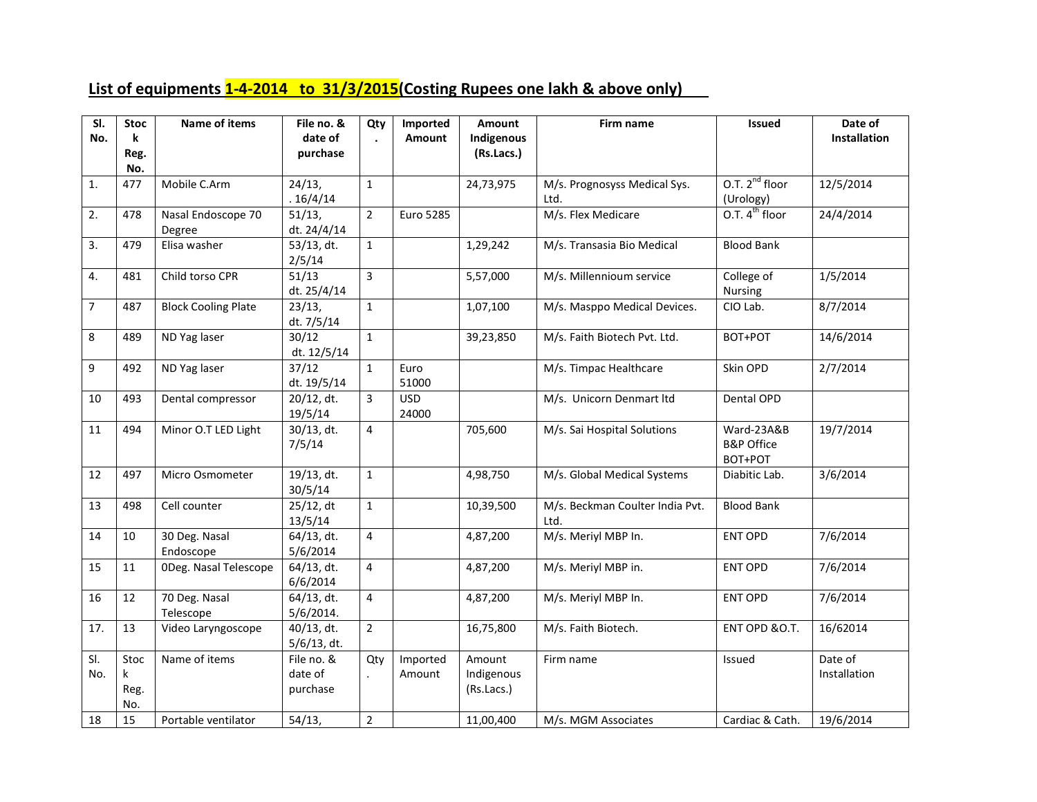## **List of equipments 1-4-2014 to 31/3/2015(Costing Rupees one lakh & above only)**

| SI.<br>No.     | <b>Stoc</b><br>k | <b>Name of items</b>               | File no. &<br>date of  | Qty                  | Imported<br><b>Amount</b> | <b>Amount</b><br>Indigenous | Firm name                       | <b>Issued</b>              | Date of<br>Installation |
|----------------|------------------|------------------------------------|------------------------|----------------------|---------------------------|-----------------------------|---------------------------------|----------------------------|-------------------------|
|                | Reg.<br>No.      |                                    | purchase               |                      |                           | (Rs.Lacs.)                  |                                 |                            |                         |
| 1.             | 477              | Mobile C.Arm                       | 24/13,                 | $\mathbf{1}$         |                           | 24,73,975                   | M/s. Prognosyss Medical Sys.    | $0.7.2nd$ floor            | 12/5/2014               |
|                |                  |                                    | .16/4/14               |                      |                           |                             | Ltd.                            | (Urology)                  |                         |
| 2.             | 478              | Nasal Endoscope 70                 | 51/13,                 | $\overline{2}$       | <b>Euro 5285</b>          |                             | M/s. Flex Medicare              | O.T. 4 <sup>th</sup> floor | 24/4/2014               |
|                |                  | Degree                             | dt. 24/4/14            |                      |                           |                             |                                 |                            |                         |
| 3.             | 479              | Elisa washer                       | 53/13, dt.<br>2/5/14   | $\mathbf{1}$         |                           | 1,29,242                    | M/s. Transasia Bio Medical      | <b>Blood Bank</b>          |                         |
| 4.             | 481              | Child torso CPR                    | 51/13                  | 3                    |                           | 5,57,000                    | M/s. Millennioum service        | College of                 | 1/5/2014                |
|                |                  |                                    | dt. 25/4/14            |                      |                           |                             |                                 | Nursing                    |                         |
| $\overline{7}$ | 487              | <b>Block Cooling Plate</b>         | 23/13,<br>dt. 7/5/14   | $\mathbf{1}$         |                           | 1,07,100                    | M/s. Masppo Medical Devices.    | CIO Lab.                   | 8/7/2014                |
| 8              | 489              | ND Yag laser                       | 30/12                  | $\mathbf{1}$         |                           | 39,23,850                   | M/s. Faith Biotech Pvt. Ltd.    | BOT+POT                    | 14/6/2014               |
|                |                  |                                    | dt. 12/5/14            |                      |                           |                             |                                 |                            |                         |
| 9              | 492              | ND Yag laser                       | 37/12                  | $\mathbf{1}$         | Euro                      |                             | M/s. Timpac Healthcare          | Skin OPD                   | 2/7/2014                |
|                |                  |                                    | dt. 19/5/14            |                      | 51000                     |                             |                                 |                            |                         |
| 10             | 493              | Dental compressor                  | 20/12, dt.             | 3                    | <b>USD</b>                |                             | M/s. Unicorn Denmart Itd        | Dental OPD                 |                         |
|                |                  |                                    | 19/5/14                |                      | 24000                     |                             |                                 |                            |                         |
| 11             | 494              | Minor O.T LED Light                | 30/13, dt.             | 4                    |                           | 705,600                     | M/s. Sai Hospital Solutions     | Ward-23A&B                 | 19/7/2014               |
|                |                  |                                    | 7/5/14                 |                      |                           |                             |                                 | <b>B&amp;P Office</b>      |                         |
|                |                  |                                    |                        |                      |                           |                             |                                 | BOT+POT                    |                         |
| 12             | 497              | Micro Osmometer                    | 19/13, dt.             | $\mathbf{1}$         |                           | 4,98,750                    | M/s. Global Medical Systems     | Diabitic Lab.              | 3/6/2014                |
|                |                  |                                    | 30/5/14                |                      |                           |                             |                                 |                            |                         |
| 13             | 498              | Cell counter                       | 25/12, dt              | $\mathbf{1}$         |                           | 10,39,500                   | M/s. Beckman Coulter India Pvt. | <b>Blood Bank</b>          |                         |
|                |                  |                                    | 13/5/14                |                      |                           |                             | Ltd.                            |                            |                         |
| 14             | 10               | 30 Deg. Nasal                      | 64/13, dt.<br>5/6/2014 | 4                    |                           | 4,87,200                    | M/s. Meriyl MBP In.             | <b>ENT OPD</b>             | 7/6/2014                |
| 15             | 11               | Endoscope<br>ODeg. Nasal Telescope | 64/13, dt.             | 4                    |                           | 4,87,200                    | M/s. Meriyl MBP in.             | <b>ENT OPD</b>             | 7/6/2014                |
|                |                  |                                    | 6/6/2014               |                      |                           |                             |                                 |                            |                         |
| 16             | 12               | 70 Deg. Nasal                      | 64/13, dt.             | 4                    |                           | 4,87,200                    | M/s. Meriyl MBP In.             | <b>ENT OPD</b>             | 7/6/2014                |
|                |                  | Telescope                          | 5/6/2014.              |                      |                           |                             |                                 |                            |                         |
| 17.            | 13               | Video Laryngoscope                 | 40/13, dt.             | $\overline{2}$       |                           | 16,75,800                   | M/s. Faith Biotech.             | ENT OPD & O.T.             | 16/62014                |
|                |                  |                                    | 5/6/13, dt.            |                      |                           |                             |                                 |                            |                         |
| SI.            | Stoc             | Name of items                      | File no. &             | Qty                  | Imported                  | Amount                      | Firm name                       | Issued                     | Date of                 |
| No.            | k                |                                    | date of                | $\ddot{\phantom{a}}$ | Amount                    | Indigenous                  |                                 |                            | Installation            |
|                | Reg.             |                                    | purchase               |                      |                           | (Rs.Lacs.)                  |                                 |                            |                         |
|                | No.              |                                    |                        |                      |                           |                             |                                 |                            |                         |
| 18             | 15               | Portable ventilator                | 54/13,                 | $\overline{2}$       |                           | 11,00,400                   | M/s. MGM Associates             | Cardiac & Cath.            | 19/6/2014               |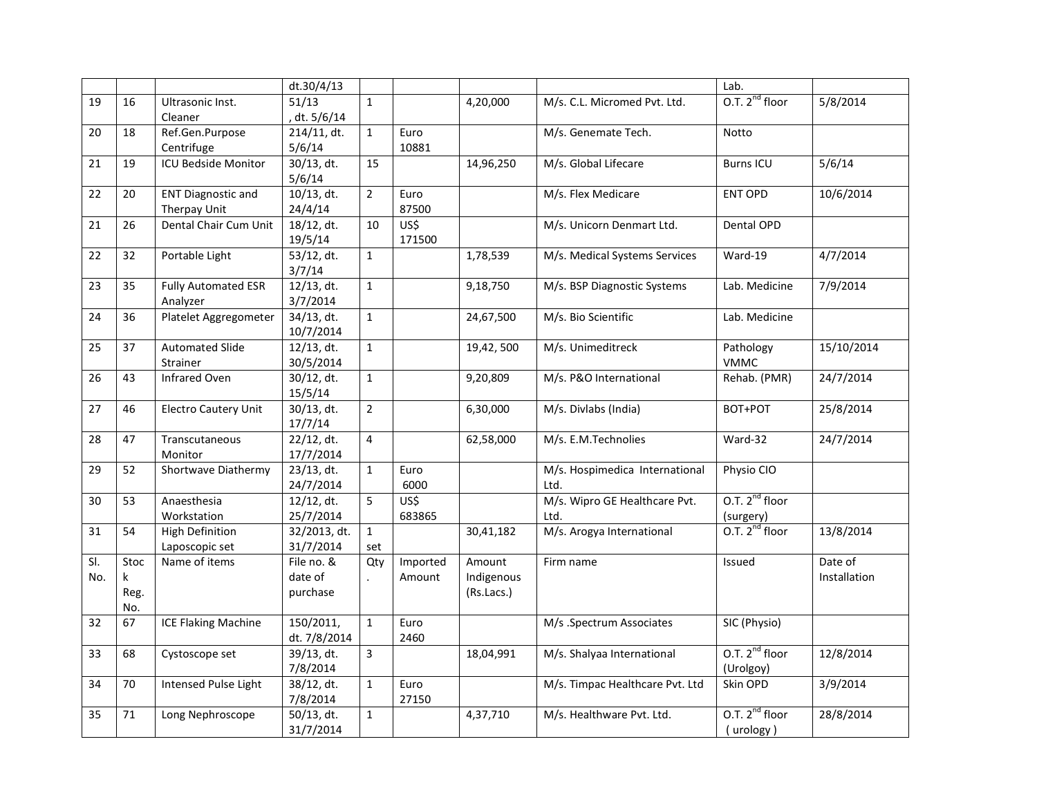|     |      |                             | dt.30/4/13    |                      |                  |            |                                 | Lab.                       |              |
|-----|------|-----------------------------|---------------|----------------------|------------------|------------|---------------------------------|----------------------------|--------------|
| 19  | 16   | Ultrasonic Inst.            | 51/13         | $\mathbf{1}$         |                  | 4,20,000   | M/s. C.L. Micromed Pvt. Ltd.    | O.T. 2 <sup>nd</sup> floor | 5/8/2014     |
|     |      | Cleaner                     | , dt. 5/6/14  |                      |                  |            |                                 |                            |              |
| 20  | 18   | Ref.Gen.Purpose             | 214/11, dt.   | $\mathbf{1}$         | Euro             |            | M/s. Genemate Tech.             | Notto                      |              |
|     |      | Centrifuge                  | 5/6/14        |                      | 10881            |            |                                 |                            |              |
| 21  | 19   | <b>ICU Bedside Monitor</b>  | 30/13, dt.    | 15                   |                  | 14,96,250  | M/s. Global Lifecare            | <b>Burns ICU</b>           | 5/6/14       |
|     |      |                             | 5/6/14        |                      |                  |            |                                 |                            |              |
| 22  | 20   | <b>ENT Diagnostic and</b>   | $10/13$ , dt. | $\overline{2}$       | Euro             |            | M/s. Flex Medicare              | <b>ENT OPD</b>             | 10/6/2014    |
|     |      | Therpay Unit                | 24/4/14       |                      | 87500            |            |                                 |                            |              |
| 21  | 26   | Dental Chair Cum Unit       | 18/12, dt.    | 10                   | $\overline{USS}$ |            | M/s. Unicorn Denmart Ltd.       | Dental OPD                 |              |
|     |      |                             | 19/5/14       |                      | 171500           |            |                                 |                            |              |
| 22  | 32   | Portable Light              | 53/12, dt.    | $\mathbf{1}$         |                  | 1,78,539   | M/s. Medical Systems Services   | Ward-19                    | 4/7/2014     |
|     |      |                             | 3/7/14        |                      |                  |            |                                 |                            |              |
| 23  | 35   | <b>Fully Automated ESR</b>  | $12/13$ , dt. | $\mathbf{1}$         |                  | 9,18,750   | M/s. BSP Diagnostic Systems     | Lab. Medicine              | 7/9/2014     |
|     |      | Analyzer                    | 3/7/2014      |                      |                  |            |                                 |                            |              |
| 24  | 36   | Platelet Aggregometer       | 34/13, dt.    | $\mathbf{1}$         |                  | 24,67,500  | M/s. Bio Scientific             | Lab. Medicine              |              |
|     |      |                             | 10/7/2014     |                      |                  |            |                                 |                            |              |
| 25  | 37   | <b>Automated Slide</b>      | $12/13$ , dt. | $\mathbf{1}$         |                  | 19,42,500  | M/s. Unimeditreck               | Pathology                  | 15/10/2014   |
|     |      | Strainer                    | 30/5/2014     |                      |                  |            |                                 | <b>VMMC</b>                |              |
| 26  | 43   | Infrared Oven               | 30/12, dt.    | $\mathbf{1}$         |                  | 9,20,809   | M/s. P&O International          | Rehab. (PMR)               | 24/7/2014    |
|     |      |                             | 15/5/14       |                      |                  |            |                                 |                            |              |
| 27  | 46   | <b>Electro Cautery Unit</b> | 30/13, dt.    | $\overline{2}$       |                  | 6,30,000   | M/s. Divlabs (India)            | BOT+POT                    | 25/8/2014    |
|     |      |                             | 17/7/14       |                      |                  |            |                                 |                            |              |
| 28  | 47   | Transcutaneous              | 22/12, dt.    | $\overline{4}$       |                  | 62,58,000  | M/s. E.M.Technolies             | Ward-32                    | 24/7/2014    |
|     |      | Monitor                     | 17/7/2014     |                      |                  |            |                                 |                            |              |
| 29  | 52   | Shortwave Diathermy         | 23/13, dt.    | $\mathbf{1}$         | Euro             |            | M/s. Hospimedica International  | Physio CIO                 |              |
|     |      |                             | 24/7/2014     |                      | 6000             |            | Ltd.                            |                            |              |
| 30  | 53   | Anaesthesia                 | 12/12, dt.    | 5                    | US\$             |            | M/s. Wipro GE Healthcare Pvt.   | O.T. $2^{nd}$ floor        |              |
|     |      | Workstation                 | 25/7/2014     |                      | 683865           |            | Ltd.                            | (surgery)                  |              |
| 31  | 54   | <b>High Definition</b>      | 32/2013, dt.  | $\mathbf{1}$         |                  | 30,41,182  | M/s. Arogya International       | O.T. 2 <sup>nd</sup> floor | 13/8/2014    |
|     |      | Laposcopic set              | 31/7/2014     | set                  |                  |            |                                 |                            |              |
| SI. | Stoc | Name of items               | File no. &    | Qty                  | Imported         | Amount     | Firm name                       | Issued                     | Date of      |
| No. | k    |                             | date of       | $\ddot{\phantom{a}}$ | Amount           | Indigenous |                                 |                            | Installation |
|     | Reg. |                             | purchase      |                      |                  | (Rs.Lacs.) |                                 |                            |              |
|     | No.  |                             |               |                      |                  |            |                                 |                            |              |
| 32  | 67   | <b>ICE Flaking Machine</b>  | 150/2011,     | $\mathbf{1}$         | Euro             |            | M/s .Spectrum Associates        | SIC (Physio)               |              |
|     |      |                             | dt. 7/8/2014  |                      | 2460             |            |                                 |                            |              |
| 33  | 68   | Cystoscope set              | 39/13, dt.    | 3                    |                  | 18,04,991  | M/s. Shalyaa International      | O.T. $2^{nd}$ floor        | 12/8/2014    |
|     |      |                             | 7/8/2014      |                      |                  |            |                                 | (Urolgoy)                  |              |
| 34  | 70   | Intensed Pulse Light        | 38/12, dt.    | $\mathbf{1}$         | Euro             |            | M/s. Timpac Healthcare Pvt. Ltd | Skin OPD                   | 3/9/2014     |
|     |      |                             | 7/8/2014      |                      | 27150            |            |                                 |                            |              |
| 35  | 71   | Long Nephroscope            | 50/13, dt.    | $\mathbf{1}$         |                  | 4,37,710   | M/s. Healthware Pvt. Ltd.       | $0.7.2nd$ floor            | 28/8/2014    |
|     |      |                             | 31/7/2014     |                      |                  |            |                                 | (urology)                  |              |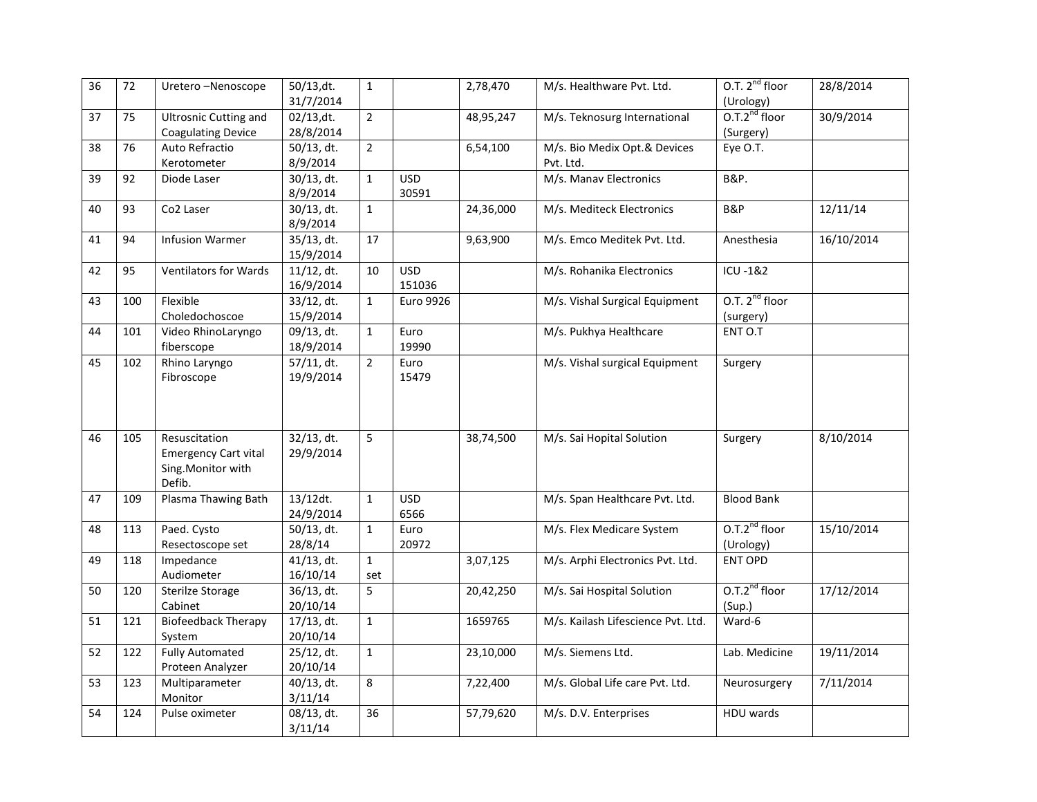| 36 | 72  | Uretero -Nenoscope           | 50/13,dt.     | $\mathbf{1}$   |                  | 2,78,470  | M/s. Healthware Pvt. Ltd.          | O.T. 2 <sup>nd</sup> floor | 28/8/2014  |
|----|-----|------------------------------|---------------|----------------|------------------|-----------|------------------------------------|----------------------------|------------|
|    |     |                              | 31/7/2014     |                |                  |           |                                    | (Urology)                  |            |
| 37 | 75  | <b>Ultrosnic Cutting and</b> | $02/13$ , dt. | $\overline{2}$ |                  | 48,95,247 | M/s. Teknosurg International       | $0.7.2nd$ floor            | 30/9/2014  |
|    |     | <b>Coagulating Device</b>    | 28/8/2014     |                |                  |           |                                    | (Surgery)                  |            |
| 38 | 76  | Auto Refractio               | 50/13, dt.    | $\overline{2}$ |                  | 6,54,100  | M/s. Bio Medix Opt.& Devices       | Eye O.T.                   |            |
|    |     | Kerotometer                  | 8/9/2014      |                |                  |           | Pvt. Ltd.                          |                            |            |
| 39 | 92  | Diode Laser                  | 30/13, dt.    | $\mathbf{1}$   | <b>USD</b>       |           | M/s. Manav Electronics             | <b>B&amp;P.</b>            |            |
|    |     |                              | 8/9/2014      |                | 30591            |           |                                    |                            |            |
| 40 | 93  | Co2 Laser                    | 30/13, dt.    | $\mathbf 1$    |                  | 24,36,000 | M/s. Mediteck Electronics          | B&P                        | 12/11/14   |
|    |     |                              | 8/9/2014      |                |                  |           |                                    |                            |            |
| 41 | 94  | <b>Infusion Warmer</b>       | 35/13, dt.    | 17             |                  | 9,63,900  | M/s. Emco Meditek Pvt. Ltd.        | Anesthesia                 | 16/10/2014 |
|    |     |                              | 15/9/2014     |                |                  |           |                                    |                            |            |
| 42 | 95  | <b>Ventilators for Wards</b> | $11/12$ , dt. | 10             | <b>USD</b>       |           | M/s. Rohanika Electronics          | <b>ICU-1&amp;2</b>         |            |
|    |     |                              | 16/9/2014     |                | 151036           |           |                                    |                            |            |
| 43 | 100 | Flexible                     | 33/12, dt.    | $\mathbf{1}$   | <b>Euro 9926</b> |           | M/s. Vishal Surgical Equipment     | O.T. $2^{nd}$ floor        |            |
|    |     | Choledochoscoe               | 15/9/2014     |                |                  |           |                                    | (surgery)                  |            |
| 44 | 101 | Video RhinoLaryngo           | $09/13$ , dt. | $\mathbf{1}$   | Euro             |           | M/s. Pukhya Healthcare             | ENT O.T                    |            |
|    |     | fiberscope                   | 18/9/2014     |                | 19990            |           |                                    |                            |            |
| 45 | 102 | Rhino Laryngo                | 57/11, dt.    | $\overline{2}$ | Euro             |           | M/s. Vishal surgical Equipment     | Surgery                    |            |
|    |     | Fibroscope                   | 19/9/2014     |                | 15479            |           |                                    |                            |            |
|    |     |                              |               |                |                  |           |                                    |                            |            |
|    |     |                              |               |                |                  |           |                                    |                            |            |
|    |     |                              |               |                |                  |           |                                    |                            |            |
| 46 | 105 | Resuscitation                | 32/13, dt.    | 5              |                  | 38,74,500 | M/s. Sai Hopital Solution          | Surgery                    | 8/10/2014  |
|    |     | <b>Emergency Cart vital</b>  | 29/9/2014     |                |                  |           |                                    |                            |            |
|    |     | Sing.Monitor with            |               |                |                  |           |                                    |                            |            |
|    |     | Defib.                       |               |                |                  |           |                                    |                            |            |
| 47 | 109 | Plasma Thawing Bath          | $13/12dt$ .   | $\mathbf{1}$   | <b>USD</b>       |           | M/s. Span Healthcare Pvt. Ltd.     | <b>Blood Bank</b>          |            |
|    |     |                              | 24/9/2014     |                | 6566             |           |                                    |                            |            |
| 48 | 113 | Paed. Cysto                  | 50/13, dt.    | $\mathbf{1}$   | Euro             |           | M/s. Flex Medicare System          | $0.7.2nd$ floor            | 15/10/2014 |
|    |     | Resectoscope set             | 28/8/14       |                | 20972            |           |                                    | (Urology)                  |            |
| 49 | 118 | Impedance                    | $41/13$ , dt. | $\mathbf{1}$   |                  | 3,07,125  | M/s. Arphi Electronics Pvt. Ltd.   | <b>ENT OPD</b>             |            |
|    |     | Audiometer                   | 16/10/14      |                |                  |           |                                    |                            |            |
|    |     |                              |               | set            |                  |           |                                    | $0.7.2nd$ floor            |            |
| 50 | 120 | <b>Sterilze Storage</b>      | 36/13, dt.    | 5              |                  | 20,42,250 | M/s. Sai Hospital Solution         |                            | 17/12/2014 |
|    |     | Cabinet                      | 20/10/14      |                |                  |           |                                    | (Sup.)                     |            |
| 51 | 121 | <b>Biofeedback Therapy</b>   | 17/13, dt.    | $\mathbf{1}$   |                  | 1659765   | M/s. Kailash Lifescience Pvt. Ltd. | Ward-6                     |            |
|    |     | System                       | 20/10/14      |                |                  |           |                                    |                            |            |
| 52 | 122 | <b>Fully Automated</b>       | 25/12, dt.    | $\mathbf{1}$   |                  | 23,10,000 | M/s. Siemens Ltd.                  | Lab. Medicine              | 19/11/2014 |
|    |     | Proteen Analyzer             | 20/10/14      |                |                  |           |                                    |                            |            |
| 53 | 123 | Multiparameter               | 40/13, dt.    | 8              |                  | 7,22,400  | M/s. Global Life care Pvt. Ltd.    | Neurosurgery               | 7/11/2014  |
|    |     | Monitor                      | 3/11/14       |                |                  |           |                                    |                            |            |
| 54 | 124 | Pulse oximeter               | 08/13, dt.    | 36             |                  | 57,79,620 | M/s. D.V. Enterprises              | <b>HDU</b> wards           |            |
|    |     |                              | 3/11/14       |                |                  |           |                                    |                            |            |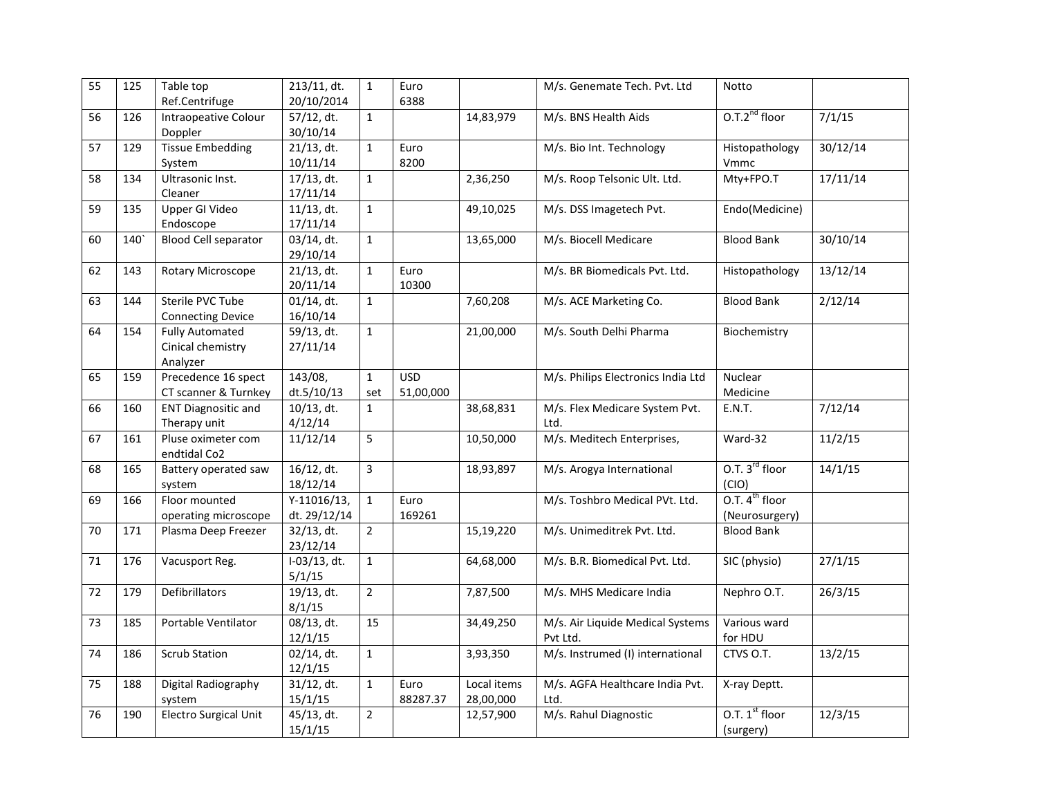| 55 | 125 | Table top                    | 213/11, dt.   | $\mathbf{1}$   | Euro       |             | M/s. Genemate Tech. Pvt. Ltd       | Notto                      |          |
|----|-----|------------------------------|---------------|----------------|------------|-------------|------------------------------------|----------------------------|----------|
|    |     | Ref.Centrifuge               | 20/10/2014    |                | 6388       |             |                                    |                            |          |
| 56 | 126 | Intraopeative Colour         | 57/12, dt.    | $\mathbf{1}$   |            | 14,83,979   | M/s. BNS Health Aids               | $0.7.2nd$ floor            | 7/1/15   |
|    |     | Doppler                      | 30/10/14      |                |            |             |                                    |                            |          |
| 57 | 129 | <b>Tissue Embedding</b>      | 21/13, dt.    | $\mathbf{1}$   | Euro       |             | M/s. Bio Int. Technology           | Histopathology             | 30/12/14 |
|    |     | System                       | 10/11/14      |                | 8200       |             |                                    | Vmmc                       |          |
| 58 | 134 | Ultrasonic Inst.             | $17/13$ , dt. | $\mathbf{1}$   |            | 2,36,250    | M/s. Roop Telsonic Ult. Ltd.       | Mty+FPO.T                  | 17/11/14 |
|    |     | Cleaner                      | 17/11/14      |                |            |             |                                    |                            |          |
| 59 | 135 | Upper GI Video               | $11/13$ , dt. | $\mathbf{1}$   |            | 49,10,025   | M/s. DSS Imagetech Pvt.            | Endo(Medicine)             |          |
|    |     | Endoscope                    | 17/11/14      |                |            |             |                                    |                            |          |
| 60 | 140 | <b>Blood Cell separator</b>  | 03/14, dt.    | $\mathbf{1}$   |            | 13,65,000   | M/s. Biocell Medicare              | <b>Blood Bank</b>          | 30/10/14 |
|    |     |                              | 29/10/14      |                |            |             |                                    |                            |          |
| 62 | 143 | Rotary Microscope            | $21/13$ , dt. | $\mathbf{1}$   | Euro       |             | M/s. BR Biomedicals Pvt. Ltd.      | Histopathology             | 13/12/14 |
|    |     |                              | 20/11/14      |                | 10300      |             |                                    |                            |          |
| 63 | 144 | Sterile PVC Tube             | $01/14$ , dt. | $\mathbf{1}$   |            | 7,60,208    | M/s. ACE Marketing Co.             | <b>Blood Bank</b>          | 2/12/14  |
|    |     | <b>Connecting Device</b>     | 16/10/14      |                |            |             |                                    |                            |          |
| 64 | 154 | <b>Fully Automated</b>       | 59/13, dt.    | $\mathbf{1}$   |            | 21,00,000   | M/s. South Delhi Pharma            | Biochemistry               |          |
|    |     | Cinical chemistry            | 27/11/14      |                |            |             |                                    |                            |          |
|    |     | Analyzer                     |               |                |            |             |                                    |                            |          |
| 65 | 159 | Precedence 16 spect          | 143/08,       | $\mathbf{1}$   | <b>USD</b> |             | M/s. Philips Electronics India Ltd | Nuclear                    |          |
|    |     | CT scanner & Turnkey         | dt.5/10/13    | set            | 51,00,000  |             |                                    | Medicine                   |          |
| 66 | 160 | <b>ENT Diagnositic and</b>   | $10/13$ , dt. | $\mathbf{1}$   |            | 38,68,831   | M/s. Flex Medicare System Pvt.     | E.N.T.                     | 7/12/14  |
|    |     | Therapy unit                 | 4/12/14       |                |            |             | Ltd.                               |                            |          |
| 67 | 161 | Pluse oximeter com           | 11/12/14      | 5              |            | 10,50,000   | M/s. Meditech Enterprises,         | Ward-32                    | 11/2/15  |
|    |     | endtidal Co2                 |               |                |            |             |                                    |                            |          |
| 68 | 165 | Battery operated saw         | 16/12, dt.    | 3              |            | 18,93,897   | M/s. Arogya International          | O.T. 3 <sup>rd</sup> floor | 14/1/15  |
|    |     | system                       | 18/12/14      |                |            |             |                                    | (CIO)                      |          |
| 69 | 166 | Floor mounted                | $Y-11016/13,$ | $\mathbf{1}$   | Euro       |             | M/s. Toshbro Medical PVt. Ltd.     | O.T. $4^{th}$ floor        |          |
|    |     | operating microscope         | dt. 29/12/14  |                | 169261     |             |                                    | (Neurosurgery)             |          |
| 70 | 171 | Plasma Deep Freezer          | 32/13, dt.    | $\overline{2}$ |            | 15,19,220   | M/s. Unimeditrek Pvt. Ltd.         | <b>Blood Bank</b>          |          |
|    |     |                              | 23/12/14      |                |            |             |                                    |                            |          |
| 71 | 176 | Vacusport Reg.               | I-03/13, dt.  | $\mathbf{1}$   |            | 64,68,000   | M/s. B.R. Biomedical Pvt. Ltd.     | SIC (physio)               | 27/1/15  |
|    |     |                              | 5/1/15        |                |            |             |                                    |                            |          |
| 72 | 179 | Defibrillators               | 19/13, dt.    | $\overline{2}$ |            | 7,87,500    | M/s. MHS Medicare India            | Nephro O.T.                | 26/3/15  |
|    |     |                              | 8/1/15        |                |            |             |                                    |                            |          |
| 73 | 185 | Portable Ventilator          | 08/13, dt.    | 15             |            | 34,49,250   | M/s. Air Liquide Medical Systems   | Various ward               |          |
|    |     |                              | 12/1/15       |                |            |             | Pvt Ltd.                           | for HDU                    |          |
| 74 | 186 | <b>Scrub Station</b>         | $02/14$ , dt. | $\mathbf{1}$   |            | 3,93,350    | M/s. Instrumed (I) international   | CTVS O.T.                  | 13/2/15  |
|    |     |                              | 12/1/15       |                |            |             |                                    |                            |          |
| 75 | 188 | Digital Radiography          | 31/12, dt.    | $\mathbf{1}$   | Euro       | Local items | M/s. AGFA Healthcare India Pvt.    | X-ray Deptt.               |          |
|    |     | system                       | 15/1/15       |                | 88287.37   | 28,00,000   | Ltd.                               |                            |          |
| 76 | 190 | <b>Electro Surgical Unit</b> | 45/13, dt.    | $\overline{2}$ |            | 12,57,900   | M/s. Rahul Diagnostic              | O.T. $1st$ floor           | 12/3/15  |
|    |     |                              | 15/1/15       |                |            |             |                                    | (surgery)                  |          |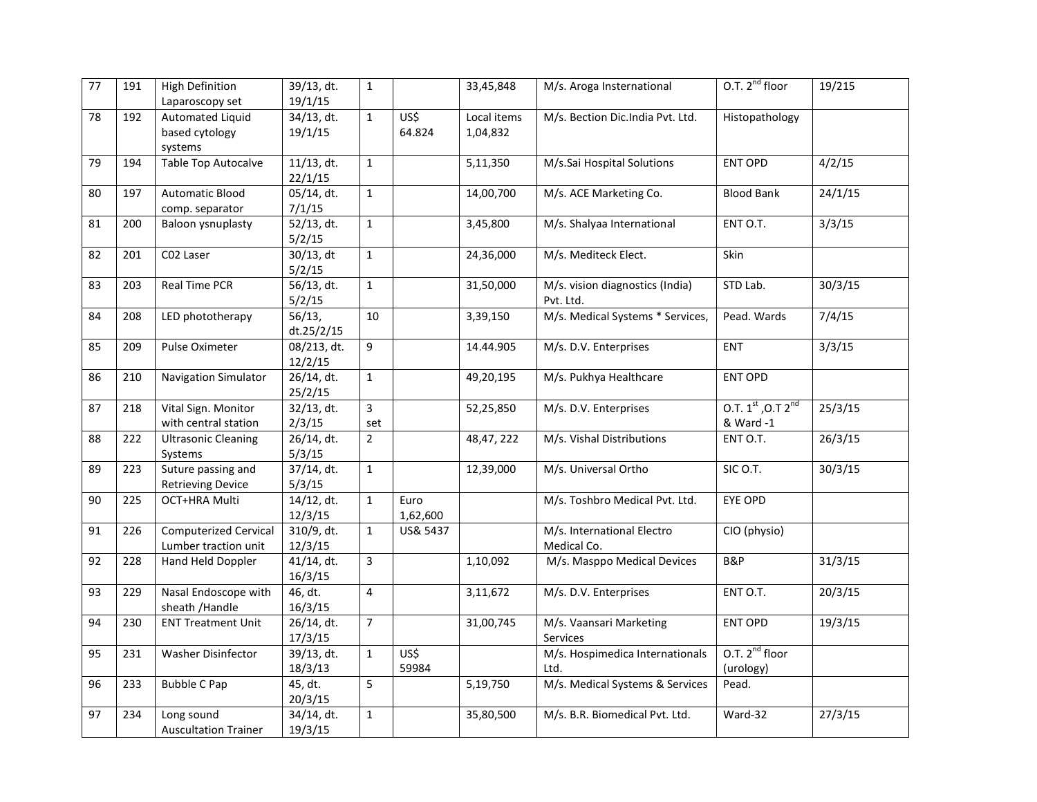| 77 | 191 | <b>High Definition</b>       | 39/13, dt.    | $\mathbf{1}$   |          | 33,45,848   | M/s. Aroga Insternational        | O.T. $2^{nd}$ floor          | 19/215  |
|----|-----|------------------------------|---------------|----------------|----------|-------------|----------------------------------|------------------------------|---------|
|    |     | Laparoscopy set              | 19/1/15       |                |          |             |                                  |                              |         |
| 78 | 192 | Automated Liquid             | 34/13, dt.    | $\mathbf{1}$   | US\$     | Local items | M/s. Bection Dic.India Pvt. Ltd. | Histopathology               |         |
|    |     | based cytology               | 19/1/15       |                | 64.824   | 1,04,832    |                                  |                              |         |
|    |     | systems                      |               |                |          |             |                                  |                              |         |
| 79 | 194 | Table Top Autocalve          | $11/13$ , dt. | $\mathbf{1}$   |          | 5,11,350    | M/s.Sai Hospital Solutions       | <b>ENT OPD</b>               | 4/2/15  |
|    |     |                              | 22/1/15       |                |          |             |                                  |                              |         |
| 80 | 197 | <b>Automatic Blood</b>       | 05/14, dt.    | $\mathbf{1}$   |          | 14,00,700   | M/s. ACE Marketing Co.           | <b>Blood Bank</b>            | 24/1/15 |
|    |     | comp. separator              | 7/1/15        |                |          |             |                                  |                              |         |
| 81 | 200 | Baloon ysnuplasty            | 52/13, dt.    | $\mathbf{1}$   |          | 3,45,800    | M/s. Shalyaa International       | ENT O.T.                     | 3/3/15  |
|    |     |                              | 5/2/15        |                |          |             |                                  |                              |         |
| 82 | 201 | C02 Laser                    | 30/13, dt     | $\mathbf{1}$   |          | 24,36,000   | M/s. Mediteck Elect.             | Skin                         |         |
|    |     |                              | 5/2/15        |                |          |             |                                  |                              |         |
| 83 | 203 | <b>Real Time PCR</b>         | 56/13, dt.    | $\mathbf{1}$   |          | 31,50,000   | M/s. vision diagnostics (India)  | STD Lab.                     | 30/3/15 |
|    |     |                              | 5/2/15        |                |          |             | Pvt. Ltd.                        |                              |         |
| 84 | 208 | LED phototherapy             | 56/13,        | 10             |          | 3,39,150    | M/s. Medical Systems * Services, | Pead. Wards                  | 7/4/15  |
|    |     |                              | dt.25/2/15    |                |          |             |                                  |                              |         |
| 85 | 209 | Pulse Oximeter               | 08/213, dt.   | 9              |          | 14.44.905   | M/s. D.V. Enterprises            | <b>ENT</b>                   | 3/3/15  |
|    |     |                              | 12/2/15       |                |          |             |                                  |                              |         |
| 86 | 210 | Navigation Simulator         | 26/14, dt.    | $\mathbf{1}$   |          | 49,20,195   | M/s. Pukhya Healthcare           | ENT OPD                      |         |
|    |     |                              | 25/2/15       |                |          |             |                                  |                              |         |
| 87 | 218 | Vital Sign. Monitor          | 32/13, dt.    | $\overline{3}$ |          | 52,25,850   | M/s. D.V. Enterprises            | O.T. $1^{st}$ , O.T $2^{nd}$ | 25/3/15 |
|    |     | with central station         | 2/3/15        | set            |          |             |                                  | & Ward -1                    |         |
| 88 | 222 | Ultrasonic Cleaning          | 26/14, dt.    | $\overline{2}$ |          | 48,47, 222  | M/s. Vishal Distributions        | ENT O.T.                     | 26/3/15 |
|    |     | Systems                      | 5/3/15        |                |          |             |                                  |                              |         |
| 89 | 223 | Suture passing and           | 37/14, dt.    | $\mathbf{1}$   |          | 12,39,000   | M/s. Universal Ortho             | SIC O.T.                     | 30/3/15 |
|    |     | <b>Retrieving Device</b>     | 5/3/15        |                |          |             |                                  |                              |         |
| 90 | 225 | OCT+HRA Multi                | 14/12, dt.    | $\mathbf{1}$   | Euro     |             | M/s. Toshbro Medical Pvt. Ltd.   | EYE OPD                      |         |
|    |     |                              | 12/3/15       |                | 1,62,600 |             |                                  |                              |         |
| 91 | 226 | <b>Computerized Cervical</b> | 310/9, dt.    | $\mathbf{1}$   | US& 5437 |             | M/s. International Electro       | CIO (physio)                 |         |
|    |     | Lumber traction unit         | 12/3/15       |                |          |             | Medical Co.                      |                              |         |
| 92 | 228 | Hand Held Doppler            | 41/14, dt.    | 3              |          | 1,10,092    | M/s. Masppo Medical Devices      | B&P                          | 31/3/15 |
|    |     |                              | 16/3/15       |                |          |             |                                  |                              |         |
| 93 | 229 | Nasal Endoscope with         | 46, dt.       | $\overline{4}$ |          | 3,11,672    | M/s. D.V. Enterprises            | ENT O.T.                     | 20/3/15 |
|    |     | sheath / Handle              | 16/3/15       |                |          |             |                                  |                              |         |
| 94 | 230 | <b>ENT Treatment Unit</b>    | 26/14, dt.    | $\overline{7}$ |          | 31,00,745   | M/s. Vaansari Marketing          | <b>ENT OPD</b>               | 19/3/15 |
|    |     |                              | 17/3/15       |                |          |             | <b>Services</b>                  |                              |         |
| 95 | 231 | Washer Disinfector           | 39/13, dt.    | $\mathbf{1}$   | US\$     |             | M/s. Hospimedica Internationals  | O.T. $2^{nd}$ floor          |         |
|    |     |                              | 18/3/13       |                | 59984    |             | Ltd.                             | (urology)                    |         |
| 96 | 233 | <b>Bubble C Pap</b>          | 45, dt.       | 5              |          | 5,19,750    | M/s. Medical Systems & Services  | Pead.                        |         |
|    |     |                              | 20/3/15       |                |          |             |                                  |                              |         |
| 97 | 234 | Long sound                   | $34/14$ , dt. | $\mathbf{1}$   |          | 35,80,500   | M/s. B.R. Biomedical Pvt. Ltd.   | Ward-32                      | 27/3/15 |
|    |     | <b>Auscultation Trainer</b>  | 19/3/15       |                |          |             |                                  |                              |         |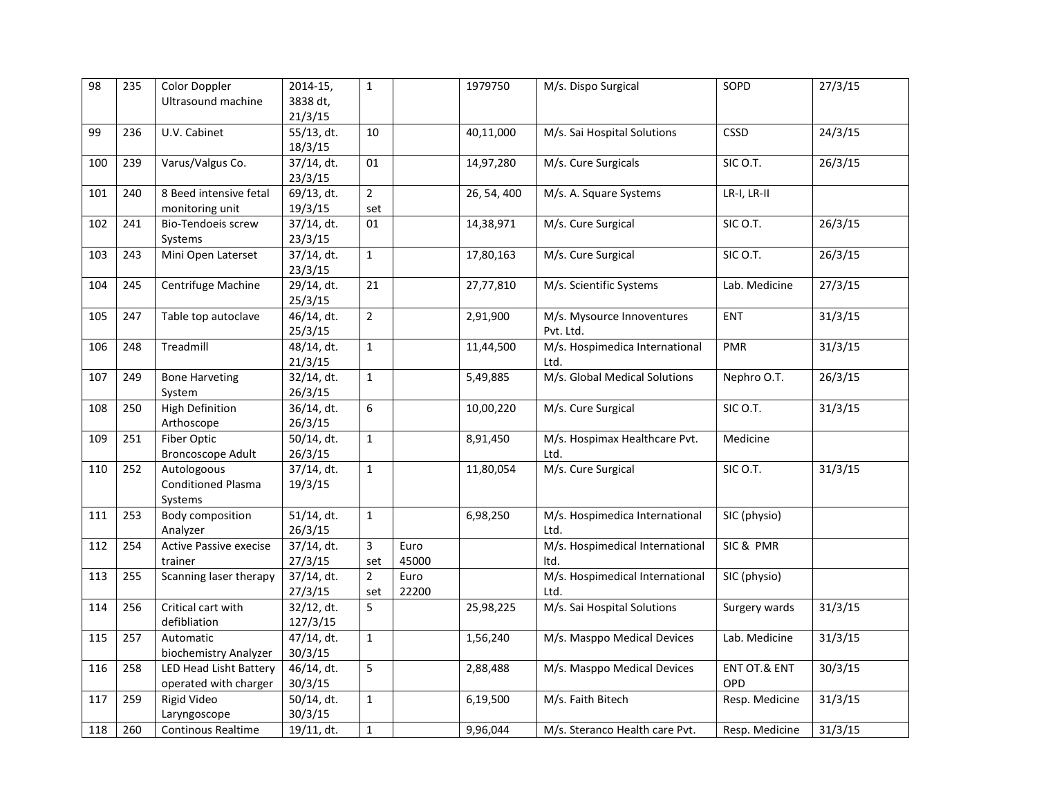| 98  | 235 | Color Doppler                 | 2014-15,                 | $\mathbf{1}$   |       | 1979750     | M/s. Dispo Surgical             | SOPD                    | 27/3/15 |
|-----|-----|-------------------------------|--------------------------|----------------|-------|-------------|---------------------------------|-------------------------|---------|
|     |     | Ultrasound machine            | 3838 dt,                 |                |       |             |                                 |                         |         |
|     |     |                               | 21/3/15                  |                |       |             |                                 |                         |         |
| 99  | 236 | U.V. Cabinet                  | 55/13, dt.               | 10             |       | 40,11,000   | M/s. Sai Hospital Solutions     | CSSD                    | 24/3/15 |
|     |     |                               | 18/3/15                  |                |       |             |                                 |                         |         |
| 100 | 239 | Varus/Valgus Co.              | $\frac{1}{37}{14}$ , dt. | 01             |       | 14,97,280   | M/s. Cure Surgicals             | SIC O.T.                | 26/3/15 |
|     |     |                               | 23/3/15                  |                |       |             |                                 |                         |         |
| 101 | 240 | 8 Beed intensive fetal        | 69/13, dt.               | $\overline{2}$ |       | 26, 54, 400 | M/s. A. Square Systems          | LR-I, LR-II             |         |
|     |     | monitoring unit               | 19/3/15                  | set            |       |             |                                 |                         |         |
| 102 | 241 | Bio-Tendoeis screw            | 37/14, dt.               | 01             |       | 14,38,971   | M/s. Cure Surgical              | SIC O.T.                | 26/3/15 |
|     |     | Systems                       | 23/3/15                  |                |       |             |                                 |                         |         |
| 103 | 243 | Mini Open Laterset            | 37/14, dt.               | $\mathbf{1}$   |       | 17,80,163   | M/s. Cure Surgical              | SIC O.T.                | 26/3/15 |
|     |     |                               | 23/3/15                  |                |       |             |                                 |                         |         |
| 104 | 245 | Centrifuge Machine            | 29/14, dt.               | 21             |       | 27,77,810   | M/s. Scientific Systems         | Lab. Medicine           | 27/3/15 |
|     |     |                               | 25/3/15                  |                |       |             |                                 |                         |         |
| 105 | 247 | Table top autoclave           | 46/14, dt.               | $\overline{2}$ |       | 2,91,900    | M/s. Mysource Innoventures      | ENT                     | 31/3/15 |
|     |     |                               | 25/3/15                  |                |       |             | Pvt. Ltd.                       |                         |         |
| 106 | 248 | Treadmill                     | 48/14, dt.               | $\mathbf{1}$   |       | 11,44,500   | M/s. Hospimedica International  | <b>PMR</b>              | 31/3/15 |
|     |     |                               | 21/3/15                  |                |       |             | Ltd.                            |                         |         |
| 107 | 249 | <b>Bone Harveting</b>         | 32/14, dt.               | $\mathbf{1}$   |       | 5,49,885    | M/s. Global Medical Solutions   | Nephro O.T.             | 26/3/15 |
|     |     | System                        | 26/3/15                  |                |       |             |                                 |                         |         |
| 108 | 250 | <b>High Definition</b>        | 36/14, dt.               | 6              |       | 10,00,220   | M/s. Cure Surgical              | SIC O.T.                | 31/3/15 |
|     |     | Arthoscope                    | 26/3/15                  |                |       |             |                                 |                         |         |
| 109 | 251 | Fiber Optic                   | 50/14, dt.               | $\mathbf{1}$   |       | 8,91,450    | M/s. Hospimax Healthcare Pvt.   | Medicine                |         |
|     |     | <b>Broncoscope Adult</b>      | 26/3/15                  |                |       |             | Ltd.                            |                         |         |
| 110 | 252 | Autologoous                   | 37/14, dt.               | $\mathbf{1}$   |       | 11,80,054   | M/s. Cure Surgical              | SIC O.T.                | 31/3/15 |
|     |     | <b>Conditioned Plasma</b>     | 19/3/15                  |                |       |             |                                 |                         |         |
|     |     | Systems                       |                          |                |       |             |                                 |                         |         |
| 111 | 253 | Body composition              | 51/14, dt.               | $\mathbf{1}$   |       | 6,98,250    | M/s. Hospimedica International  | SIC (physio)            |         |
|     |     | Analyzer                      | 26/3/15                  |                |       |             | Ltd.                            |                         |         |
| 112 | 254 | Active Passive execise        | 37/14, dt.               | 3              | Euro  |             | M/s. Hospimedical International | SIC & PMR               |         |
|     |     | trainer                       | 27/3/15                  | set            | 45000 |             | ltd.                            |                         |         |
| 113 | 255 | Scanning laser therapy        | 37/14, dt.               | $\overline{2}$ | Euro  |             | M/s. Hospimedical International | SIC (physio)            |         |
|     |     |                               | 27/3/15                  | set            | 22200 |             | Ltd.                            |                         |         |
| 114 | 256 | Critical cart with            | $\frac{1}{32}$ /12, dt.  | 5              |       | 25,98,225   | M/s. Sai Hospital Solutions     | Surgery wards           | 31/3/15 |
|     |     | defibliation                  | 127/3/15                 |                |       |             |                                 |                         |         |
| 115 | 257 | Automatic                     | 47/14, dt.               | $\mathbf{1}$   |       | 1,56,240    | M/s. Masppo Medical Devices     | Lab. Medicine           | 31/3/15 |
|     |     | biochemistry Analyzer         | 30/3/15                  |                |       |             |                                 |                         |         |
| 116 | 258 | <b>LED Head Lisht Battery</b> | 46/14, dt.               | 5              |       | 2,88,488    | M/s. Masppo Medical Devices     | <b>ENT OT.&amp; ENT</b> | 30/3/15 |
|     |     | operated with charger         | 30/3/15                  |                |       |             |                                 | OPD                     |         |
| 117 | 259 | Rigid Video                   | 50/14, dt.               | $\mathbf{1}$   |       | 6,19,500    | M/s. Faith Bitech               | Resp. Medicine          | 31/3/15 |
|     |     | Laryngoscope                  | 30/3/15                  |                |       |             |                                 |                         |         |
| 118 | 260 | Continous Realtime            | 19/11, dt.               | $\mathbf 1$    |       | 9,96,044    | M/s. Steranco Health care Pvt.  | Resp. Medicine          | 31/3/15 |